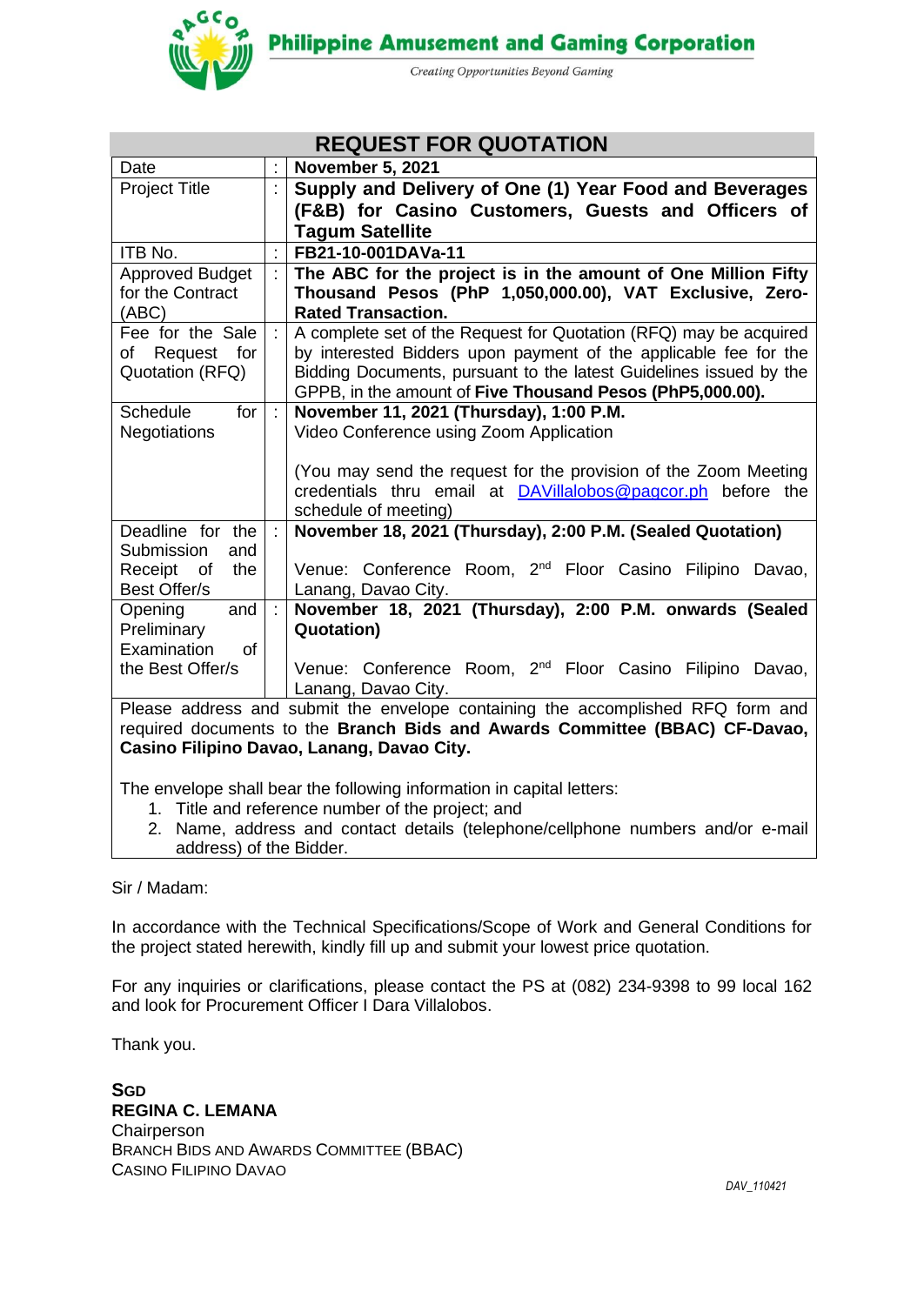**Philippine Amusement and Gaming Corporation** 



Creating Opportunities Beyond Gaming

| <b>REQUEST FOR QUOTATION</b>                                                                                              |  |                                                                                                                                       |  |  |
|---------------------------------------------------------------------------------------------------------------------------|--|---------------------------------------------------------------------------------------------------------------------------------------|--|--|
| Date                                                                                                                      |  | <b>November 5, 2021</b>                                                                                                               |  |  |
| Project Title                                                                                                             |  | Supply and Delivery of One (1) Year Food and Beverages                                                                                |  |  |
|                                                                                                                           |  | (F&B) for Casino Customers, Guests and Officers of                                                                                    |  |  |
|                                                                                                                           |  | <b>Tagum Satellite</b>                                                                                                                |  |  |
| ITB No.                                                                                                                   |  | FB21-10-001DAVa-11                                                                                                                    |  |  |
| <b>Approved Budget</b>                                                                                                    |  | The ABC for the project is in the amount of One Million Fifty                                                                         |  |  |
| for the Contract                                                                                                          |  | Thousand Pesos (PhP 1,050,000.00), VAT Exclusive, Zero-                                                                               |  |  |
| (ABC)<br>Fee for the Sale                                                                                                 |  | <b>Rated Transaction.</b>                                                                                                             |  |  |
| Request<br>for<br>of                                                                                                      |  | A complete set of the Request for Quotation (RFQ) may be acquired<br>by interested Bidders upon payment of the applicable fee for the |  |  |
| Quotation (RFQ)                                                                                                           |  | Bidding Documents, pursuant to the latest Guidelines issued by the                                                                    |  |  |
|                                                                                                                           |  | GPPB, in the amount of Five Thousand Pesos (PhP5,000.00).                                                                             |  |  |
| <b>Schedule</b><br>for                                                                                                    |  | November 11, 2021 (Thursday), 1:00 P.M.                                                                                               |  |  |
| <b>Negotiations</b>                                                                                                       |  | Video Conference using Zoom Application                                                                                               |  |  |
|                                                                                                                           |  |                                                                                                                                       |  |  |
|                                                                                                                           |  | (You may send the request for the provision of the Zoom Meeting                                                                       |  |  |
|                                                                                                                           |  | credentials thru email at <b>DAVillalobos@pagcor.ph</b> before the<br>schedule of meeting)                                            |  |  |
| Deadline for the                                                                                                          |  | November 18, 2021 (Thursday), 2:00 P.M. (Sealed Quotation)                                                                            |  |  |
| Submission<br>and                                                                                                         |  |                                                                                                                                       |  |  |
| Receipt of<br>the                                                                                                         |  | Venue: Conference Room, 2 <sup>nd</sup> Floor Casino Filipino Davao,                                                                  |  |  |
| Best Offer/s                                                                                                              |  | Lanang, Davao City.                                                                                                                   |  |  |
| Opening<br>and                                                                                                            |  | November 18, 2021 (Thursday), 2:00 P.M. onwards (Sealed                                                                               |  |  |
| Preliminary                                                                                                               |  | <b>Quotation)</b>                                                                                                                     |  |  |
| Examination<br><b>of</b>                                                                                                  |  |                                                                                                                                       |  |  |
| the Best Offer/s                                                                                                          |  | Venue: Conference Room, 2 <sup>nd</sup> Floor Casino Filipino Davao,                                                                  |  |  |
|                                                                                                                           |  | Lanang, Davao City.                                                                                                                   |  |  |
|                                                                                                                           |  | Please address and submit the envelope containing the accomplished RFQ form and                                                       |  |  |
| required documents to the Branch Bids and Awards Committee (BBAC) CF-Davao,<br>Casino Filipino Davao, Lanang, Davao City. |  |                                                                                                                                       |  |  |
|                                                                                                                           |  |                                                                                                                                       |  |  |

The envelope shall bear the following information in capital letters:

- 1. Title and reference number of the project; and
- 2. Name, address and contact details (telephone/cellphone numbers and/or e-mail address) of the Bidder.

#### Sir / Madam:

In accordance with the Technical Specifications/Scope of Work and General Conditions for the project stated herewith, kindly fill up and submit your lowest price quotation.

For any inquiries or clarifications, please contact the PS at (082) 234-9398 to 99 local 162 and look for Procurement Officer I Dara Villalobos.

Thank you.

**SGD REGINA C. LEMANA Chairperson** BRANCH BIDS AND AWARDS COMMITTEE (BBAC) CASINO FILIPINO DAVAO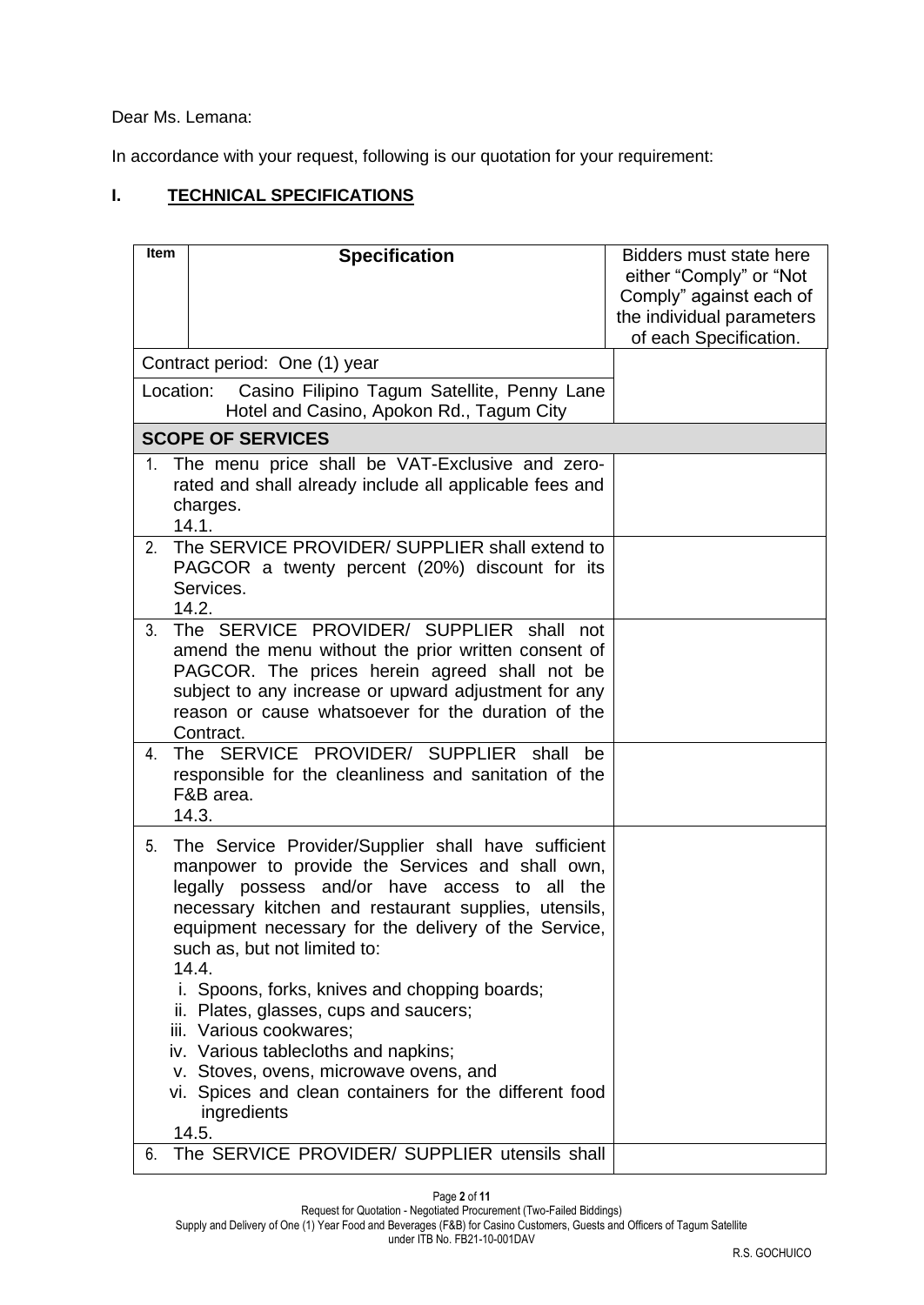Dear Ms. Lemana:

In accordance with your request, following is our quotation for your requirement:

# **I. TECHNICAL SPECIFICATIONS**

| <b>Item</b> | <b>Specification</b>                                                                                                                                                                                                                                                                                                                                                                                                                                                                                                                                                                                          | Bidders must state here<br>either "Comply" or "Not<br>Comply" against each of |
|-------------|---------------------------------------------------------------------------------------------------------------------------------------------------------------------------------------------------------------------------------------------------------------------------------------------------------------------------------------------------------------------------------------------------------------------------------------------------------------------------------------------------------------------------------------------------------------------------------------------------------------|-------------------------------------------------------------------------------|
|             |                                                                                                                                                                                                                                                                                                                                                                                                                                                                                                                                                                                                               | the individual parameters<br>of each Specification.                           |
|             | Contract period: One (1) year                                                                                                                                                                                                                                                                                                                                                                                                                                                                                                                                                                                 |                                                                               |
| Location:   | Casino Filipino Tagum Satellite, Penny Lane<br>Hotel and Casino, Apokon Rd., Tagum City                                                                                                                                                                                                                                                                                                                                                                                                                                                                                                                       |                                                                               |
|             | <b>SCOPE OF SERVICES</b>                                                                                                                                                                                                                                                                                                                                                                                                                                                                                                                                                                                      |                                                                               |
| $1_{\cdot}$ | The menu price shall be VAT-Exclusive and zero-<br>rated and shall already include all applicable fees and<br>charges.<br>14.1.                                                                                                                                                                                                                                                                                                                                                                                                                                                                               |                                                                               |
| 2.          | The SERVICE PROVIDER/ SUPPLIER shall extend to<br>PAGCOR a twenty percent (20%) discount for its<br>Services.<br>14.2.                                                                                                                                                                                                                                                                                                                                                                                                                                                                                        |                                                                               |
| 3.          | The SERVICE PROVIDER/ SUPPLIER shall not<br>amend the menu without the prior written consent of<br>PAGCOR. The prices herein agreed shall not be<br>subject to any increase or upward adjustment for any<br>reason or cause whatsoever for the duration of the<br>Contract.                                                                                                                                                                                                                                                                                                                                   |                                                                               |
| 4.          | The SERVICE PROVIDER/ SUPPLIER shall<br>be<br>responsible for the cleanliness and sanitation of the<br>F&B area.<br>14.3.                                                                                                                                                                                                                                                                                                                                                                                                                                                                                     |                                                                               |
| 5.          | The Service Provider/Supplier shall have sufficient<br>manpower to provide the Services and shall own,<br>legally possess and/or have access to<br>all the<br>necessary kitchen and restaurant supplies, utensils,<br>equipment necessary for the delivery of the Service,<br>such as, but not limited to:<br>14.4.<br>i. Spoons, forks, knives and chopping boards;<br>ii. Plates, glasses, cups and saucers;<br>iii. Various cookwares;<br>iv. Various tablecloths and napkins;<br>v. Stoves, ovens, microwave ovens, and<br>vi. Spices and clean containers for the different food<br>ingredients<br>14.5. |                                                                               |
| 6.          | The SERVICE PROVIDER/ SUPPLIER utensils shall                                                                                                                                                                                                                                                                                                                                                                                                                                                                                                                                                                 |                                                                               |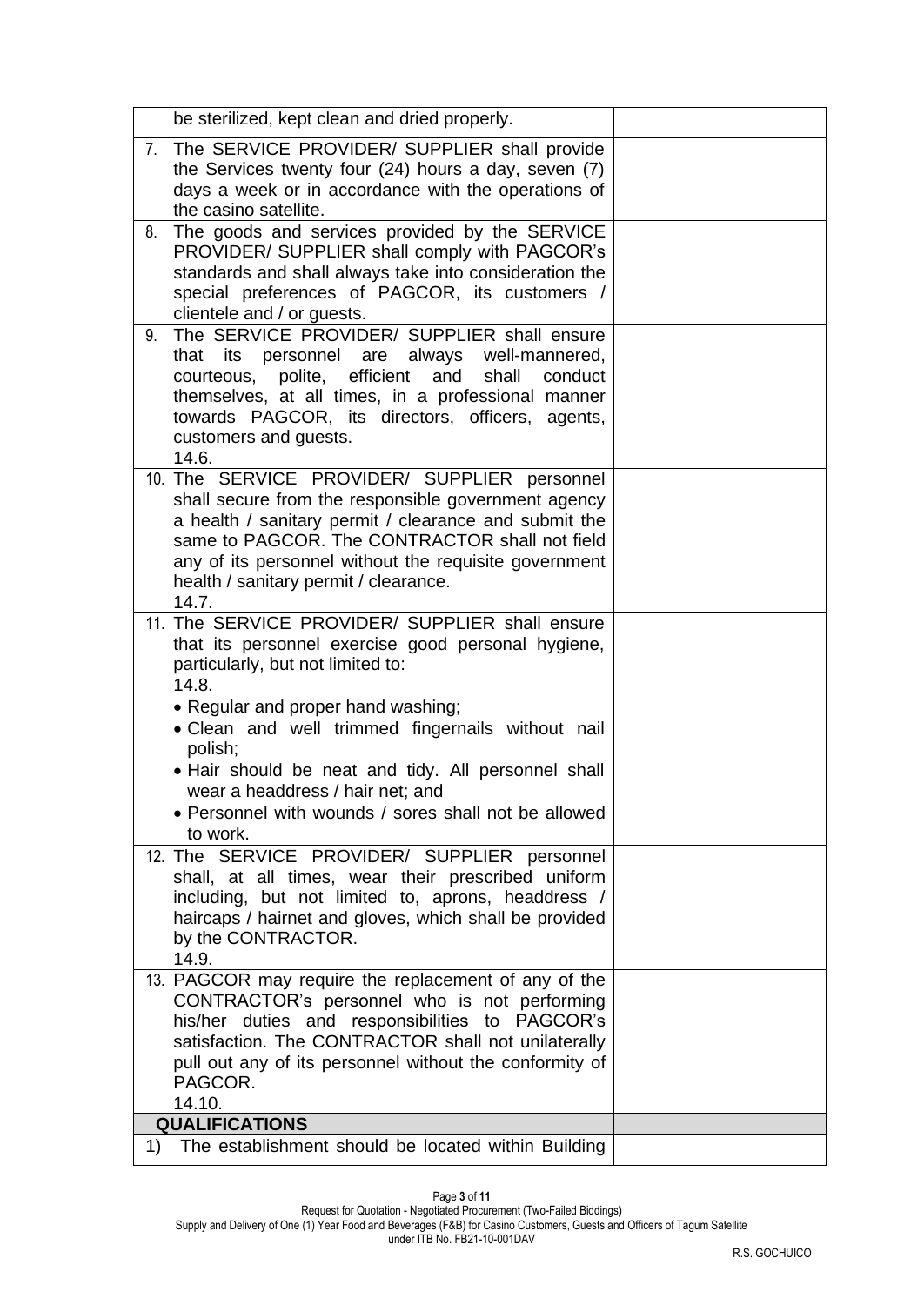| be sterilized, kept clean and dried properly.                                                                                                                                                                                                                                                                                                                                                                            |  |
|--------------------------------------------------------------------------------------------------------------------------------------------------------------------------------------------------------------------------------------------------------------------------------------------------------------------------------------------------------------------------------------------------------------------------|--|
| 7. The SERVICE PROVIDER/ SUPPLIER shall provide<br>the Services twenty four (24) hours a day, seven (7)<br>days a week or in accordance with the operations of<br>the casino satellite.                                                                                                                                                                                                                                  |  |
| The goods and services provided by the SERVICE<br>8.<br>PROVIDER/ SUPPLIER shall comply with PAGCOR's<br>standards and shall always take into consideration the<br>special preferences of PAGCOR, its customers /<br>clientele and / or guests.                                                                                                                                                                          |  |
| The SERVICE PROVIDER/ SUPPLIER shall ensure<br>9.<br>that its personnel are always<br>well-mannered,<br>courteous, polite, efficient and<br>shall<br>conduct<br>themselves, at all times, in a professional manner<br>towards PAGCOR, its directors, officers, agents,<br>customers and guests.<br>14.6.                                                                                                                 |  |
| 10. The SERVICE PROVIDER/ SUPPLIER personnel<br>shall secure from the responsible government agency<br>a health / sanitary permit / clearance and submit the<br>same to PAGCOR. The CONTRACTOR shall not field<br>any of its personnel without the requisite government<br>health / sanitary permit / clearance.<br>14.7.                                                                                                |  |
| 11. The SERVICE PROVIDER/ SUPPLIER shall ensure<br>that its personnel exercise good personal hygiene,<br>particularly, but not limited to:<br>14.8.<br>• Regular and proper hand washing;<br>• Clean and well trimmed fingernails without nail<br>polish;<br>. Hair should be neat and tidy. All personnel shall<br>wear a headdress / hair net; and<br>• Personnel with wounds / sores shall not be allowed<br>to work. |  |
| 12. The SERVICE PROVIDER/ SUPPLIER personnel<br>shall, at all times, wear their prescribed uniform<br>including, but not limited to, aprons, headdress /<br>haircaps / hairnet and gloves, which shall be provided<br>by the CONTRACTOR.<br>14.9.                                                                                                                                                                        |  |
| 13. PAGCOR may require the replacement of any of the<br>CONTRACTOR's personnel who is not performing<br>his/her duties and responsibilities to PAGCOR's<br>satisfaction. The CONTRACTOR shall not unilaterally<br>pull out any of its personnel without the conformity of<br>PAGCOR.<br>14.10.                                                                                                                           |  |
| <b>QUALIFICATIONS</b>                                                                                                                                                                                                                                                                                                                                                                                                    |  |
| $\left( \begin{matrix} 1 \end{matrix} \right)$<br>The establishment should be located within Building                                                                                                                                                                                                                                                                                                                    |  |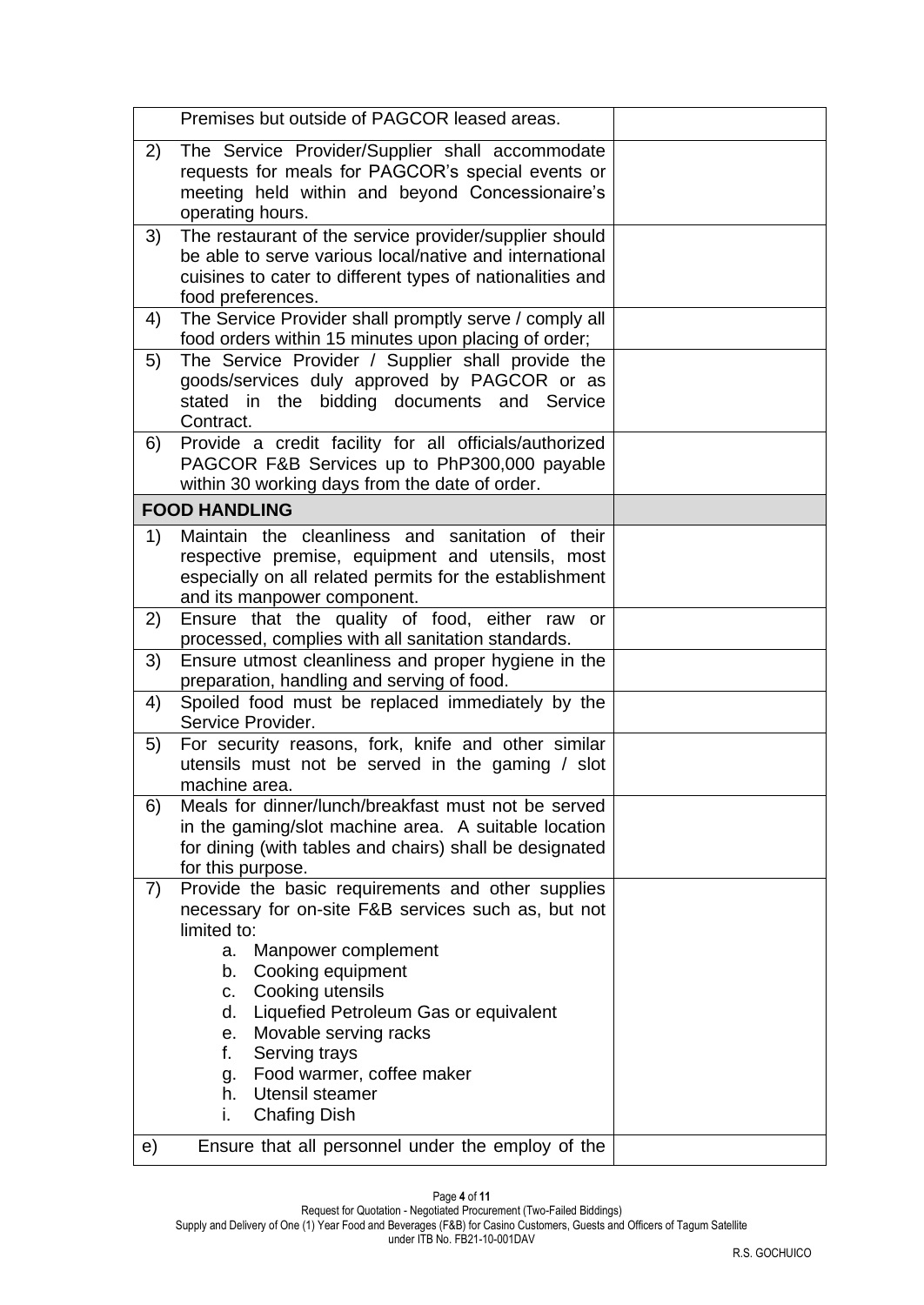|          | Premises but outside of PAGCOR leased areas.                                                                                                                                                                                                                                                                                                                                                                                                                 |  |
|----------|--------------------------------------------------------------------------------------------------------------------------------------------------------------------------------------------------------------------------------------------------------------------------------------------------------------------------------------------------------------------------------------------------------------------------------------------------------------|--|
| 2)       | The Service Provider/Supplier shall accommodate<br>requests for meals for PAGCOR's special events or<br>meeting held within and beyond Concessionaire's<br>operating hours.                                                                                                                                                                                                                                                                                  |  |
| 3)       | The restaurant of the service provider/supplier should<br>be able to serve various local/native and international<br>cuisines to cater to different types of nationalities and<br>food preferences.                                                                                                                                                                                                                                                          |  |
| 4)       | The Service Provider shall promptly serve / comply all<br>food orders within 15 minutes upon placing of order;                                                                                                                                                                                                                                                                                                                                               |  |
| 5)       | The Service Provider / Supplier shall provide the<br>goods/services duly approved by PAGCOR or as<br>stated in the bidding documents and Service<br>Contract.                                                                                                                                                                                                                                                                                                |  |
| 6)       | Provide a credit facility for all officials/authorized<br>PAGCOR F&B Services up to PhP300,000 payable<br>within 30 working days from the date of order.                                                                                                                                                                                                                                                                                                     |  |
|          | <b>FOOD HANDLING</b>                                                                                                                                                                                                                                                                                                                                                                                                                                         |  |
| 1)       | Maintain the cleanliness and sanitation of their<br>respective premise, equipment and utensils, most<br>especially on all related permits for the establishment<br>and its manpower component.                                                                                                                                                                                                                                                               |  |
| 2)       | Ensure that the quality of food, either raw<br>or<br>processed, complies with all sanitation standards.                                                                                                                                                                                                                                                                                                                                                      |  |
| 3)       | Ensure utmost cleanliness and proper hygiene in the<br>preparation, handling and serving of food.                                                                                                                                                                                                                                                                                                                                                            |  |
| 4)       | Spoiled food must be replaced immediately by the<br>Service Provider.                                                                                                                                                                                                                                                                                                                                                                                        |  |
| 5)       | For security reasons, fork, knife and other similar<br>utensils must not be served in the gaming / slot<br>machine area.                                                                                                                                                                                                                                                                                                                                     |  |
| 6)       | Meals for dinner/lunch/breakfast must not be served<br>in the gaming/slot machine area. A suitable location<br>for dining (with tables and chairs) shall be designated<br>for this purpose.                                                                                                                                                                                                                                                                  |  |
| 7)<br>e) | Provide the basic requirements and other supplies<br>necessary for on-site F&B services such as, but not<br>limited to:<br>Manpower complement<br>a.<br>Cooking equipment<br>b.<br>Cooking utensils<br>C.<br>Liquefied Petroleum Gas or equivalent<br>d.<br>Movable serving racks<br>e.<br>f.<br>Serving trays<br>Food warmer, coffee maker<br>g.<br>Utensil steamer<br>h.<br>i.<br><b>Chafing Dish</b><br>Ensure that all personnel under the employ of the |  |
|          |                                                                                                                                                                                                                                                                                                                                                                                                                                                              |  |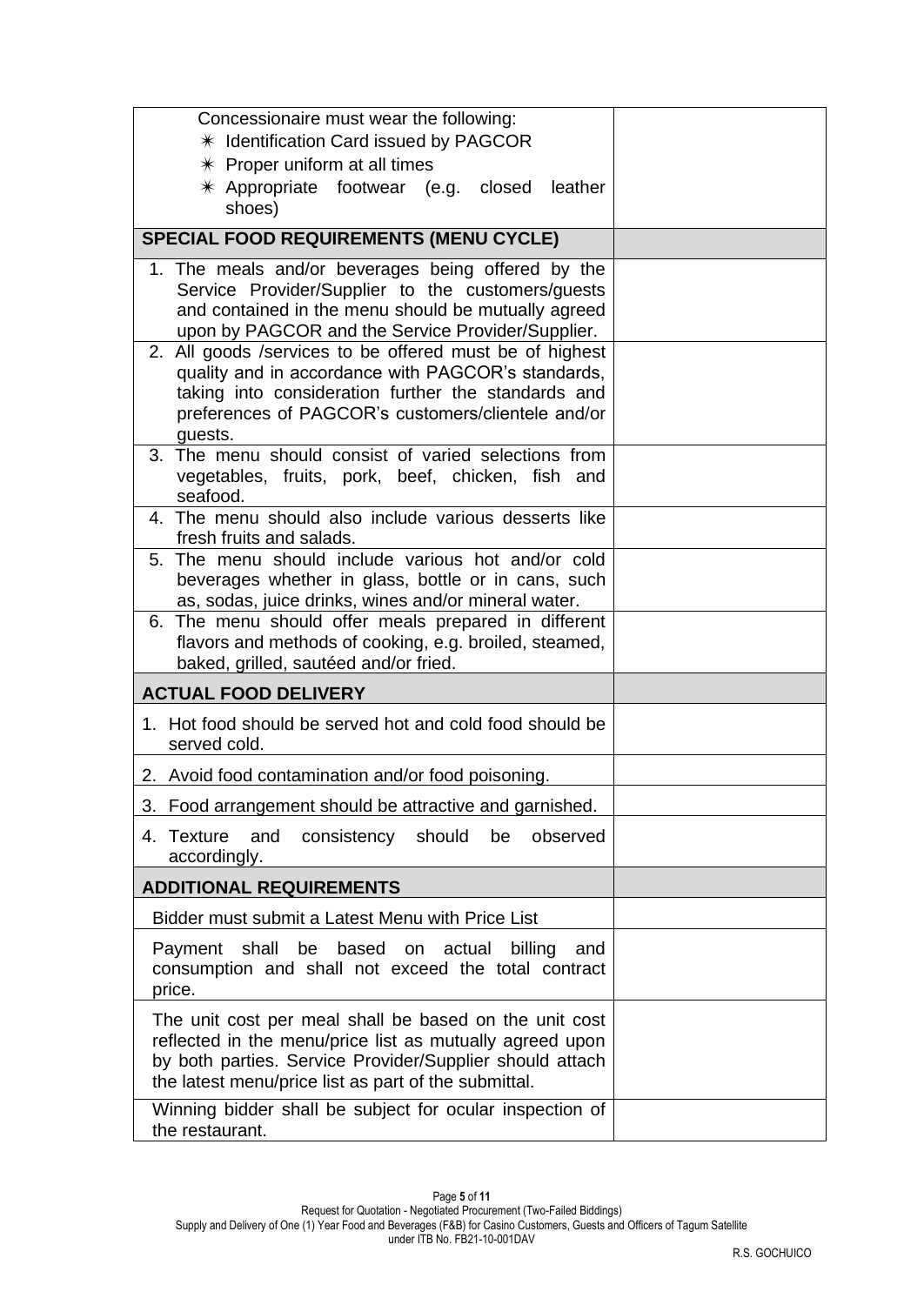| Concessionaire must wear the following:<br>* Identification Card issued by PAGCOR                                                                                                                                                      |  |
|----------------------------------------------------------------------------------------------------------------------------------------------------------------------------------------------------------------------------------------|--|
| $*$ Proper uniform at all times                                                                                                                                                                                                        |  |
| $*$ Appropriate footwear (e.g. closed<br>leather<br>shoes)                                                                                                                                                                             |  |
| <b>SPECIAL FOOD REQUIREMENTS (MENU CYCLE)</b>                                                                                                                                                                                          |  |
| 1. The meals and/or beverages being offered by the<br>Service Provider/Supplier to the customers/guests<br>and contained in the menu should be mutually agreed<br>upon by PAGCOR and the Service Provider/Supplier.                    |  |
| 2. All goods /services to be offered must be of highest<br>quality and in accordance with PAGCOR's standards,<br>taking into consideration further the standards and<br>preferences of PAGCOR's customers/clientele and/or<br>guests.  |  |
| 3. The menu should consist of varied selections from<br>vegetables, fruits, pork, beef, chicken, fish and<br>seafood.                                                                                                                  |  |
| 4. The menu should also include various desserts like<br>fresh fruits and salads.                                                                                                                                                      |  |
| 5. The menu should include various hot and/or cold<br>beverages whether in glass, bottle or in cans, such<br>as, sodas, juice drinks, wines and/or mineral water.                                                                      |  |
| 6. The menu should offer meals prepared in different<br>flavors and methods of cooking, e.g. broiled, steamed,<br>baked, grilled, sautéed and/or fried.                                                                                |  |
| <b>ACTUAL FOOD DELIVERY</b>                                                                                                                                                                                                            |  |
| 1. Hot food should be served hot and cold food should be<br>served cold.                                                                                                                                                               |  |
| 2. Avoid food contamination and/or food poisoning.                                                                                                                                                                                     |  |
| 3. Food arrangement should be attractive and garnished.                                                                                                                                                                                |  |
| and<br>consistency should be<br>observed<br>4. Texture<br>accordingly.                                                                                                                                                                 |  |
| <b>ADDITIONAL REQUIREMENTS</b>                                                                                                                                                                                                         |  |
| Bidder must submit a Latest Menu with Price List                                                                                                                                                                                       |  |
| Payment shall be based on actual<br>billing<br>and<br>consumption and shall not exceed the total contract<br>price.                                                                                                                    |  |
| The unit cost per meal shall be based on the unit cost<br>reflected in the menu/price list as mutually agreed upon<br>by both parties. Service Provider/Supplier should attach<br>the latest menu/price list as part of the submittal. |  |
| Winning bidder shall be subject for ocular inspection of<br>the restaurant.                                                                                                                                                            |  |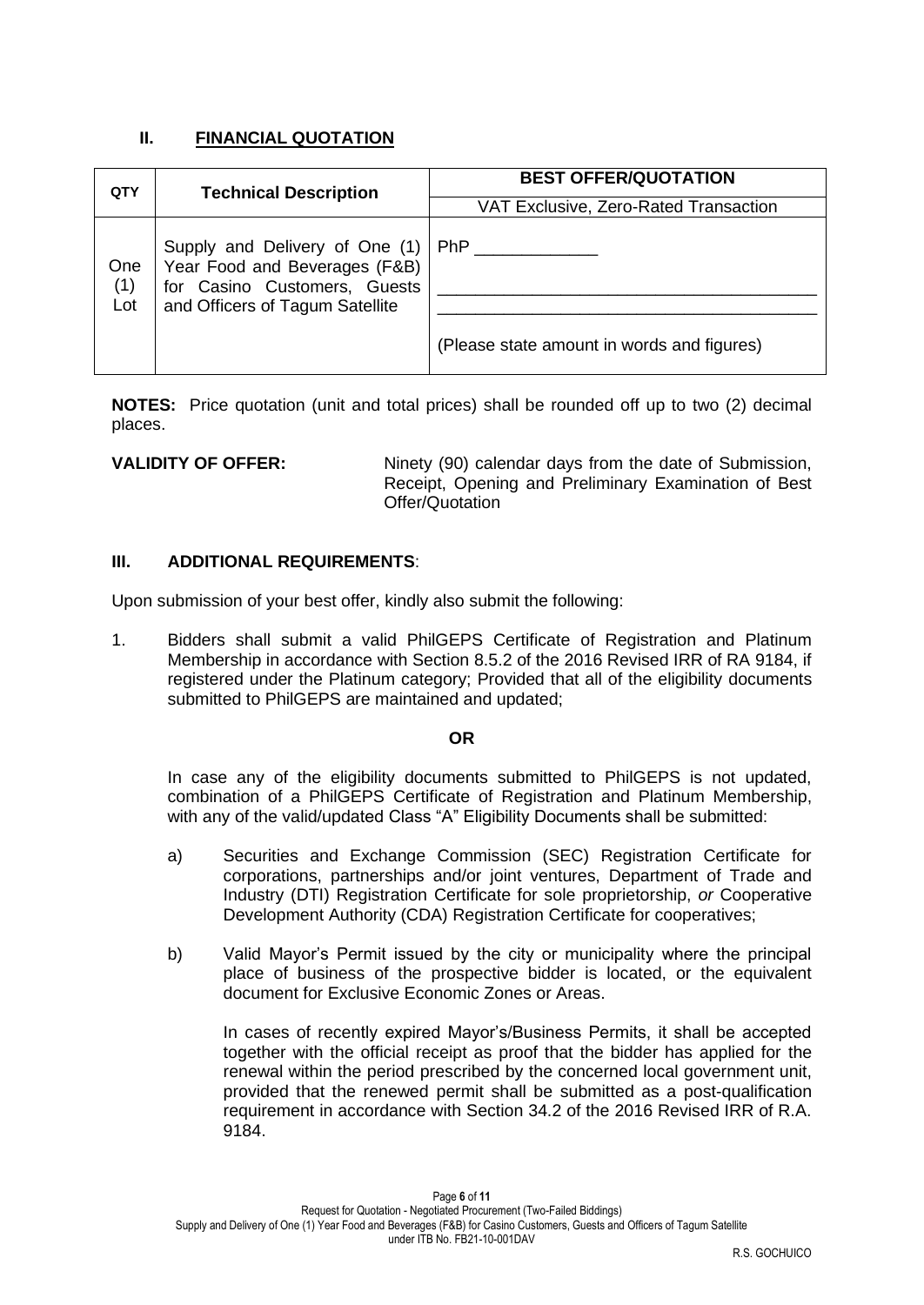## **II. FINANCIAL QUOTATION**

| QTY               | <b>Technical Description</b>                                                                                                       | <b>BEST OFFER/QUOTATION</b>                              |  |
|-------------------|------------------------------------------------------------------------------------------------------------------------------------|----------------------------------------------------------|--|
|                   |                                                                                                                                    | VAT Exclusive, Zero-Rated Transaction                    |  |
| One<br>(1)<br>Lot | Supply and Delivery of One (1)<br>Year Food and Beverages (F&B)<br>for Casino Customers, Guests<br>and Officers of Tagum Satellite | <b>PhP</b><br>(Please state amount in words and figures) |  |

**NOTES:** Price quotation (unit and total prices) shall be rounded off up to two (2) decimal places.

**VALIDITY OF OFFER:** Ninety (90) calendar days from the date of Submission, Receipt, Opening and Preliminary Examination of Best Offer/Quotation

#### **III. ADDITIONAL REQUIREMENTS**:

Upon submission of your best offer, kindly also submit the following:

1. Bidders shall submit a valid PhilGEPS Certificate of Registration and Platinum Membership in accordance with Section 8.5.2 of the 2016 Revised IRR of RA 9184, if registered under the Platinum category; Provided that all of the eligibility documents submitted to PhilGEPS are maintained and updated;

#### **OR**

In case any of the eligibility documents submitted to PhilGEPS is not updated, combination of a PhilGEPS Certificate of Registration and Platinum Membership, with any of the valid/updated Class "A" Eligibility Documents shall be submitted:

- a) Securities and Exchange Commission (SEC) Registration Certificate for corporations, partnerships and/or joint ventures, Department of Trade and Industry (DTI) Registration Certificate for sole proprietorship, *or* Cooperative Development Authority (CDA) Registration Certificate for cooperatives;
- b) Valid Mayor's Permit issued by the city or municipality where the principal place of business of the prospective bidder is located, or the equivalent document for Exclusive Economic Zones or Areas.

In cases of recently expired Mayor's/Business Permits, it shall be accepted together with the official receipt as proof that the bidder has applied for the renewal within the period prescribed by the concerned local government unit, provided that the renewed permit shall be submitted as a post-qualification requirement in accordance with Section 34.2 of the 2016 Revised IRR of R.A. 9184.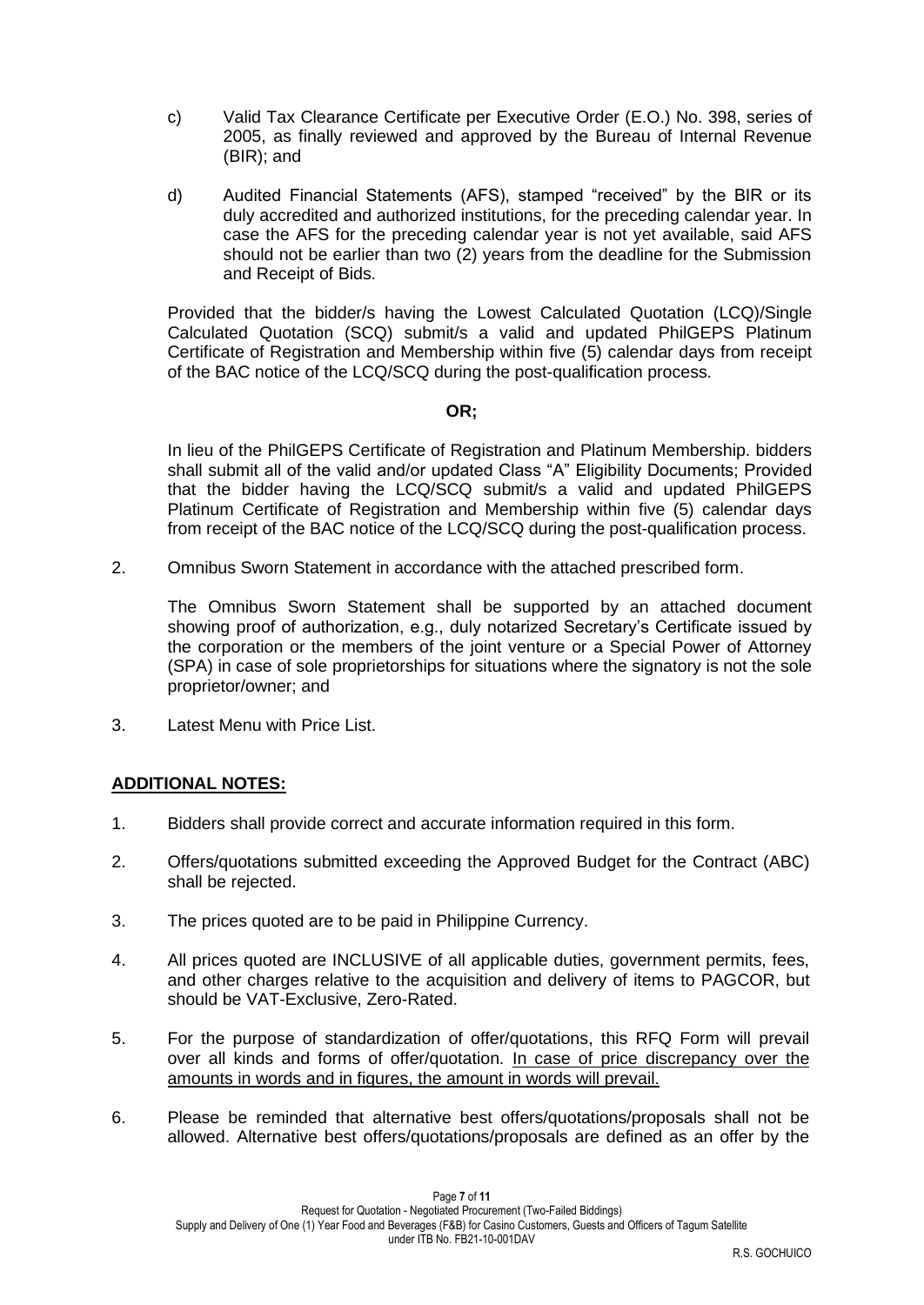- c) Valid Tax Clearance Certificate per Executive Order (E.O.) No. 398, series of 2005, as finally reviewed and approved by the Bureau of Internal Revenue (BIR); and
- d) Audited Financial Statements (AFS), stamped "received" by the BIR or its duly accredited and authorized institutions, for the preceding calendar year. In case the AFS for the preceding calendar year is not yet available, said AFS should not be earlier than two (2) years from the deadline for the Submission and Receipt of Bids.

Provided that the bidder/s having the Lowest Calculated Quotation (LCQ)/Single Calculated Quotation (SCQ) submit/s a valid and updated PhilGEPS Platinum Certificate of Registration and Membership within five (5) calendar days from receipt of the BAC notice of the LCQ/SCQ during the post-qualification process.

#### **OR;**

In lieu of the PhilGEPS Certificate of Registration and Platinum Membership. bidders shall submit all of the valid and/or updated Class "A" Eligibility Documents; Provided that the bidder having the LCQ/SCQ submit/s a valid and updated PhilGEPS Platinum Certificate of Registration and Membership within five (5) calendar days from receipt of the BAC notice of the LCQ/SCQ during the post-qualification process.

2. Omnibus Sworn Statement in accordance with the attached prescribed form.

The Omnibus Sworn Statement shall be supported by an attached document showing proof of authorization, e.g., duly notarized Secretary's Certificate issued by the corporation or the members of the joint venture or a Special Power of Attorney (SPA) in case of sole proprietorships for situations where the signatory is not the sole proprietor/owner; and

3. Latest Menu with Price List.

#### **ADDITIONAL NOTES:**

- 1. Bidders shall provide correct and accurate information required in this form.
- 2. Offers/quotations submitted exceeding the Approved Budget for the Contract (ABC) shall be rejected.
- 3. The prices quoted are to be paid in Philippine Currency.
- 4. All prices quoted are INCLUSIVE of all applicable duties, government permits, fees, and other charges relative to the acquisition and delivery of items to PAGCOR, but should be VAT-Exclusive, Zero-Rated.
- 5. For the purpose of standardization of offer/quotations, this RFQ Form will prevail over all kinds and forms of offer/quotation. In case of price discrepancy over the amounts in words and in figures, the amount in words will prevail.
- 6. Please be reminded that alternative best offers/quotations/proposals shall not be allowed. Alternative best offers/quotations/proposals are defined as an offer by the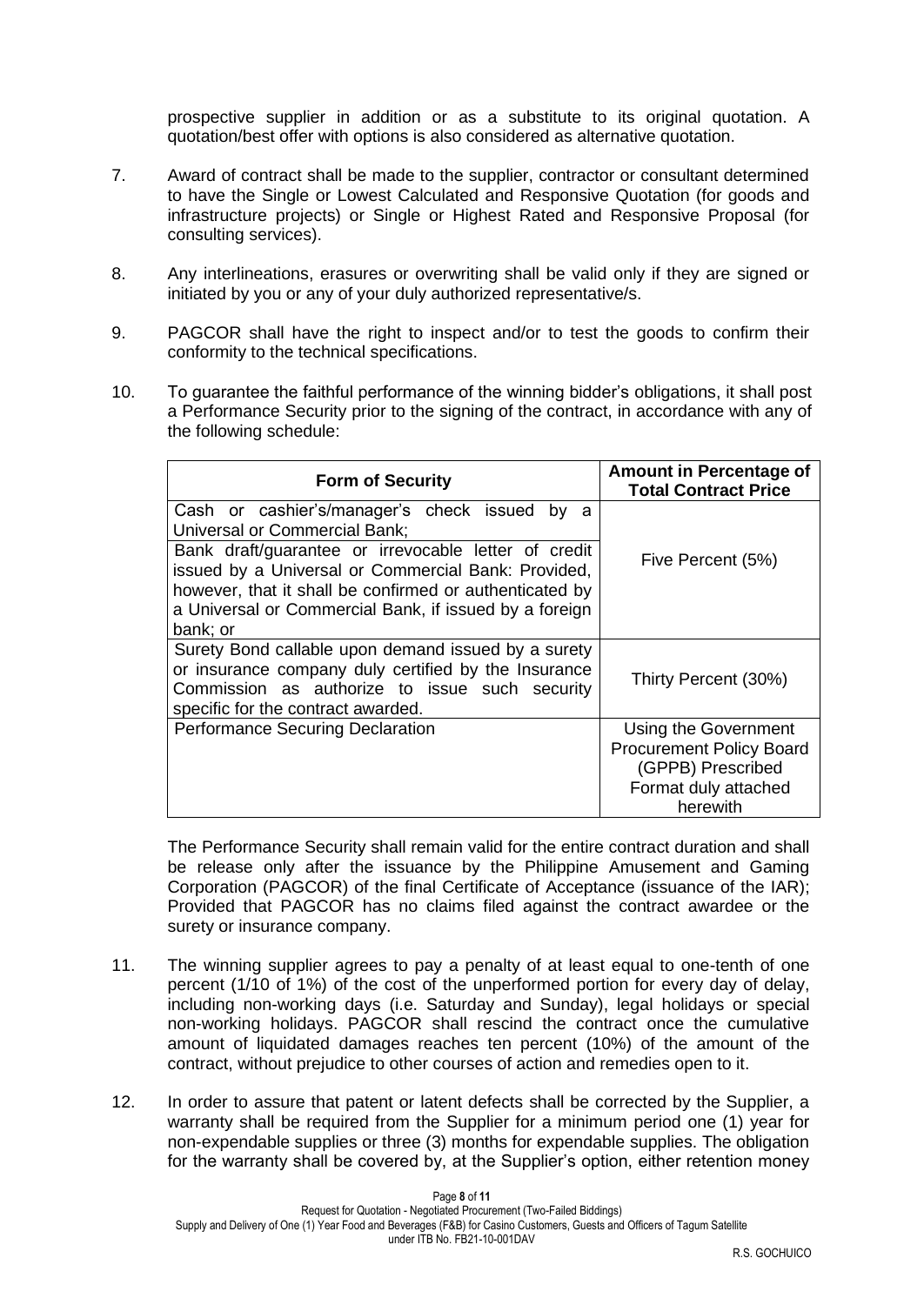prospective supplier in addition or as a substitute to its original quotation. A quotation/best offer with options is also considered as alternative quotation.

- 7. Award of contract shall be made to the supplier, contractor or consultant determined to have the Single or Lowest Calculated and Responsive Quotation (for goods and infrastructure projects) or Single or Highest Rated and Responsive Proposal (for consulting services).
- 8. Any interlineations, erasures or overwriting shall be valid only if they are signed or initiated by you or any of your duly authorized representative/s.
- 9. PAGCOR shall have the right to inspect and/or to test the goods to confirm their conformity to the technical specifications.
- 10. To guarantee the faithful performance of the winning bidder's obligations, it shall post a Performance Security prior to the signing of the contract, in accordance with any of the following schedule:

| <b>Form of Security</b>                                                                                                                                                                                                                      | <b>Amount in Percentage of</b><br><b>Total Contract Price</b>                                                    |
|----------------------------------------------------------------------------------------------------------------------------------------------------------------------------------------------------------------------------------------------|------------------------------------------------------------------------------------------------------------------|
| Cash or cashier's/manager's check issued<br>by<br>a<br>Universal or Commercial Bank;                                                                                                                                                         |                                                                                                                  |
| Bank draft/guarantee or irrevocable letter of credit<br>issued by a Universal or Commercial Bank: Provided,<br>however, that it shall be confirmed or authenticated by<br>a Universal or Commercial Bank, if issued by a foreign<br>bank; or | Five Percent (5%)                                                                                                |
| Surety Bond callable upon demand issued by a surety<br>or insurance company duly certified by the Insurance<br>Commission as authorize to issue such security<br>specific for the contract awarded.                                          | Thirty Percent (30%)                                                                                             |
| Performance Securing Declaration                                                                                                                                                                                                             | Using the Government<br><b>Procurement Policy Board</b><br>(GPPB) Prescribed<br>Format duly attached<br>herewith |

The Performance Security shall remain valid for the entire contract duration and shall be release only after the issuance by the Philippine Amusement and Gaming Corporation (PAGCOR) of the final Certificate of Acceptance (issuance of the IAR); Provided that PAGCOR has no claims filed against the contract awardee or the surety or insurance company.

- 11. The winning supplier agrees to pay a penalty of at least equal to one-tenth of one percent (1/10 of 1%) of the cost of the unperformed portion for every day of delay, including non-working days (i.e. Saturday and Sunday), legal holidays or special non-working holidays. PAGCOR shall rescind the contract once the cumulative amount of liquidated damages reaches ten percent (10%) of the amount of the contract, without prejudice to other courses of action and remedies open to it.
- 12. In order to assure that patent or latent defects shall be corrected by the Supplier, a warranty shall be required from the Supplier for a minimum period one (1) year for non-expendable supplies or three (3) months for expendable supplies. The obligation for the warranty shall be covered by, at the Supplier's option, either retention money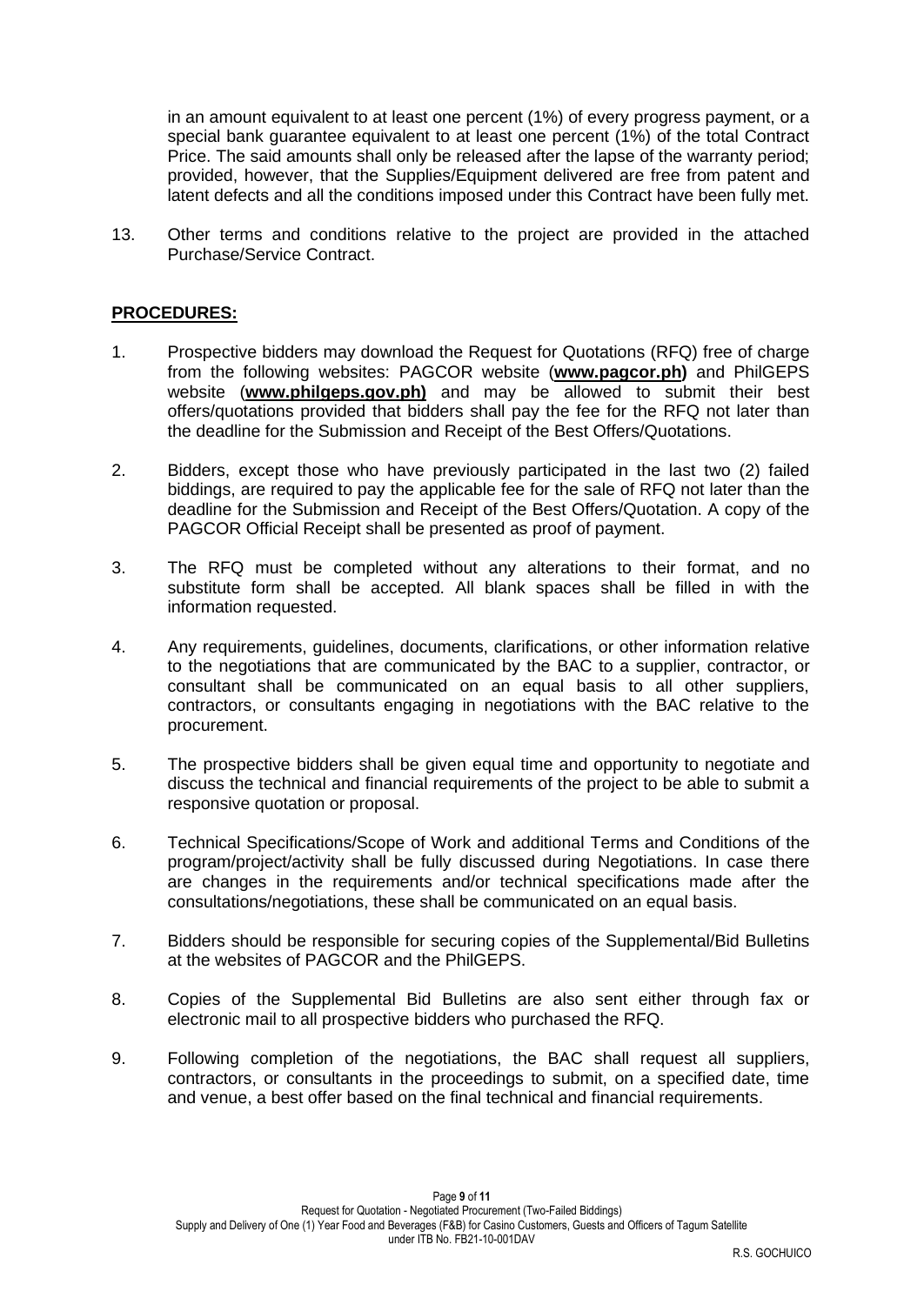in an amount equivalent to at least one percent (1%) of every progress payment, or a special bank guarantee equivalent to at least one percent (1%) of the total Contract Price. The said amounts shall only be released after the lapse of the warranty period; provided, however, that the Supplies/Equipment delivered are free from patent and latent defects and all the conditions imposed under this Contract have been fully met.

13. Other terms and conditions relative to the project are provided in the attached Purchase/Service Contract.

### **PROCEDURES:**

- 1. Prospective bidders may download the Request for Quotations (RFQ) free of charge from the following websites: PAGCOR website (**[www.pagcor.ph\)](http://www.pagcor.ph/)** and PhilGEPS website (**www.philgeps.gov.ph)** and may be allowed to submit their best offers/quotations provided that bidders shall pay the fee for the RFQ not later than the deadline for the Submission and Receipt of the Best Offers/Quotations.
- 2. Bidders, except those who have previously participated in the last two (2) failed biddings, are required to pay the applicable fee for the sale of RFQ not later than the deadline for the Submission and Receipt of the Best Offers/Quotation. A copy of the PAGCOR Official Receipt shall be presented as proof of payment.
- 3. The RFQ must be completed without any alterations to their format, and no substitute form shall be accepted. All blank spaces shall be filled in with the information requested.
- 4. Any requirements, guidelines, documents, clarifications, or other information relative to the negotiations that are communicated by the BAC to a supplier, contractor, or consultant shall be communicated on an equal basis to all other suppliers, contractors, or consultants engaging in negotiations with the BAC relative to the procurement.
- 5. The prospective bidders shall be given equal time and opportunity to negotiate and discuss the technical and financial requirements of the project to be able to submit a responsive quotation or proposal.
- 6. Technical Specifications/Scope of Work and additional Terms and Conditions of the program/project/activity shall be fully discussed during Negotiations. In case there are changes in the requirements and/or technical specifications made after the consultations/negotiations, these shall be communicated on an equal basis.
- 7. Bidders should be responsible for securing copies of the Supplemental/Bid Bulletins at the websites of PAGCOR and the PhilGEPS.
- 8. Copies of the Supplemental Bid Bulletins are also sent either through fax or electronic mail to all prospective bidders who purchased the RFQ.
- 9. Following completion of the negotiations, the BAC shall request all suppliers, contractors, or consultants in the proceedings to submit, on a specified date, time and venue, a best offer based on the final technical and financial requirements.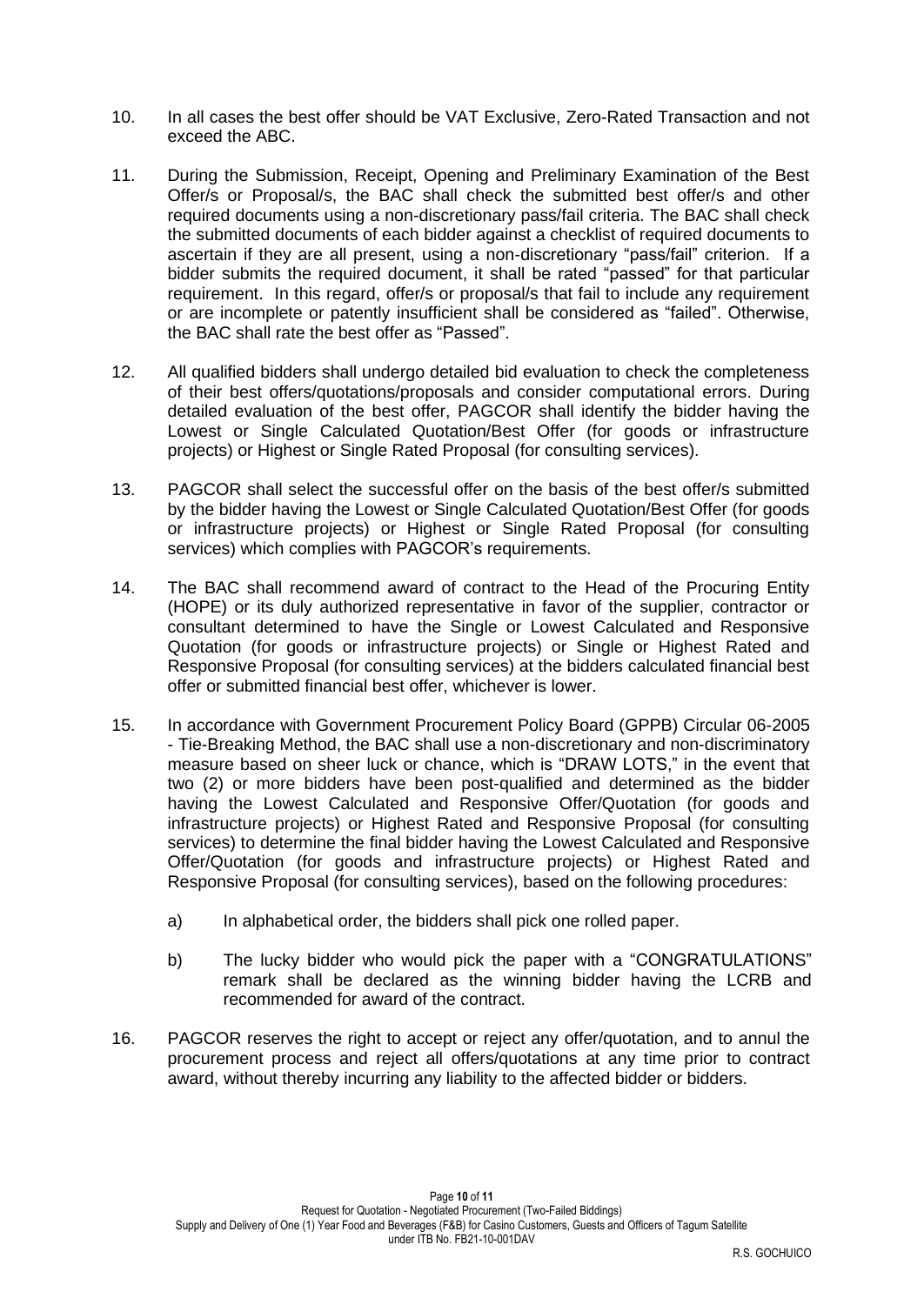- 10. In all cases the best offer should be VAT Exclusive, Zero-Rated Transaction and not exceed the ABC.
- 11. During the Submission, Receipt, Opening and Preliminary Examination of the Best Offer/s or Proposal/s, the BAC shall check the submitted best offer/s and other required documents using a non-discretionary pass/fail criteria. The BAC shall check the submitted documents of each bidder against a checklist of required documents to ascertain if they are all present, using a non-discretionary "pass/fail" criterion. If a bidder submits the required document, it shall be rated "passed" for that particular requirement. In this regard, offer/s or proposal/s that fail to include any requirement or are incomplete or patently insufficient shall be considered as "failed". Otherwise, the BAC shall rate the best offer as "Passed".
- 12. All qualified bidders shall undergo detailed bid evaluation to check the completeness of their best offers/quotations/proposals and consider computational errors. During detailed evaluation of the best offer, PAGCOR shall identify the bidder having the Lowest or Single Calculated Quotation/Best Offer (for goods or infrastructure projects) or Highest or Single Rated Proposal (for consulting services).
- 13. PAGCOR shall select the successful offer on the basis of the best offer/s submitted by the bidder having the Lowest or Single Calculated Quotation/Best Offer (for goods or infrastructure projects) or Highest or Single Rated Proposal (for consulting services) which complies with PAGCOR's requirements.
- 14. The BAC shall recommend award of contract to the Head of the Procuring Entity (HOPE) or its duly authorized representative in favor of the supplier, contractor or consultant determined to have the Single or Lowest Calculated and Responsive Quotation (for goods or infrastructure projects) or Single or Highest Rated and Responsive Proposal (for consulting services) at the bidders calculated financial best offer or submitted financial best offer, whichever is lower.
- 15. In accordance with Government Procurement Policy Board (GPPB) Circular 06-2005 - Tie-Breaking Method, the BAC shall use a non-discretionary and non-discriminatory measure based on sheer luck or chance, which is "DRAW LOTS," in the event that two (2) or more bidders have been post-qualified and determined as the bidder having the Lowest Calculated and Responsive Offer/Quotation (for goods and infrastructure projects) or Highest Rated and Responsive Proposal (for consulting services) to determine the final bidder having the Lowest Calculated and Responsive Offer/Quotation (for goods and infrastructure projects) or Highest Rated and Responsive Proposal (for consulting services), based on the following procedures:
	- a) In alphabetical order, the bidders shall pick one rolled paper.
	- b) The lucky bidder who would pick the paper with a "CONGRATULATIONS" remark shall be declared as the winning bidder having the LCRB and recommended for award of the contract.
- 16. PAGCOR reserves the right to accept or reject any offer/quotation, and to annul the procurement process and reject all offers/quotations at any time prior to contract award, without thereby incurring any liability to the affected bidder or bidders.